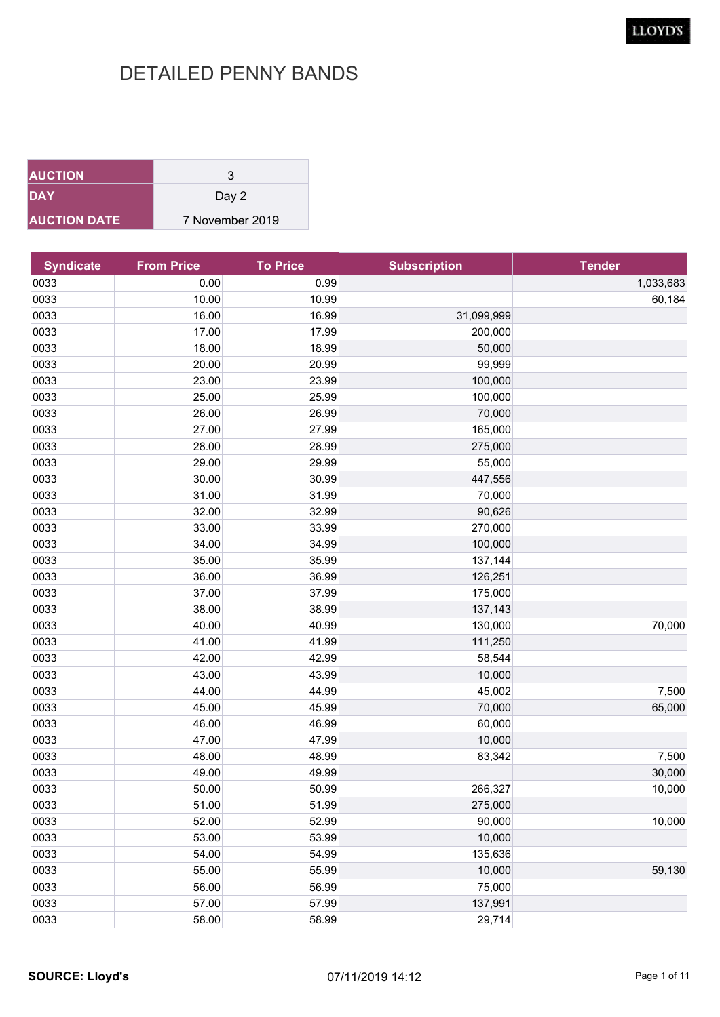| <b>AUCTION</b>      | 3               |
|---------------------|-----------------|
| <b>DAY</b>          | Day 2           |
| <b>AUCTION DATE</b> | 7 November 2019 |

| <b>Syndicate</b> | <b>From Price</b> | <b>To Price</b> | <b>Subscription</b> | <b>Tender</b> |
|------------------|-------------------|-----------------|---------------------|---------------|
| 0033             | 0.00              | 0.99            |                     | 1,033,683     |
| 0033             | 10.00             | 10.99           |                     | 60,184        |
| 0033             | 16.00             | 16.99           | 31,099,999          |               |
| 0033             | 17.00             | 17.99           | 200,000             |               |
| 0033             | 18.00             | 18.99           | 50,000              |               |
| 0033             | 20.00             | 20.99           | 99,999              |               |
| 0033             | 23.00             | 23.99           | 100,000             |               |
| 0033             | 25.00             | 25.99           | 100,000             |               |
| 0033             | 26.00             | 26.99           | 70,000              |               |
| 0033             | 27.00             | 27.99           | 165,000             |               |
| 0033             | 28.00             | 28.99           | 275,000             |               |
| 0033             | 29.00             | 29.99           | 55,000              |               |
| 0033             | 30.00             | 30.99           | 447,556             |               |
| 0033             | 31.00             | 31.99           | 70,000              |               |
| 0033             | 32.00             | 32.99           | 90,626              |               |
| 0033             | 33.00             | 33.99           | 270,000             |               |
| 0033             | 34.00             | 34.99           | 100,000             |               |
| 0033             | 35.00             | 35.99           | 137,144             |               |
| 0033             | 36.00             | 36.99           | 126,251             |               |
| 0033             | 37.00             | 37.99           | 175,000             |               |
| 0033             | 38.00             | 38.99           | 137,143             |               |
| 0033             | 40.00             | 40.99           | 130,000             | 70,000        |
| 0033             | 41.00             | 41.99           | 111,250             |               |
| 0033             | 42.00             | 42.99           | 58,544              |               |
| 0033             | 43.00             | 43.99           | 10,000              |               |
| 0033             | 44.00             | 44.99           | 45,002              | 7,500         |
| 0033             | 45.00             | 45.99           | 70,000              | 65,000        |
| 0033             | 46.00             | 46.99           | 60,000              |               |
| 0033             | 47.00             | 47.99           | 10,000              |               |
| 0033             | 48.00             | 48.99           | 83,342              | 7,500         |
| 0033             | 49.00             | 49.99           |                     | 30,000        |
| 0033             | 50.00             | 50.99           | 266,327             | 10,000        |
| 0033             | 51.00             | 51.99           | 275,000             |               |
| 0033             | 52.00             | 52.99           | 90,000              | 10,000        |
| 0033             | 53.00             | 53.99           | 10,000              |               |
| 0033             | 54.00             | 54.99           | 135,636             |               |
| 0033             | 55.00             | 55.99           | 10,000              | 59,130        |
| 0033             | 56.00             | 56.99           | 75,000              |               |
| 0033             | 57.00             | 57.99           | 137,991             |               |
| 0033             | 58.00             | 58.99           | 29,714              |               |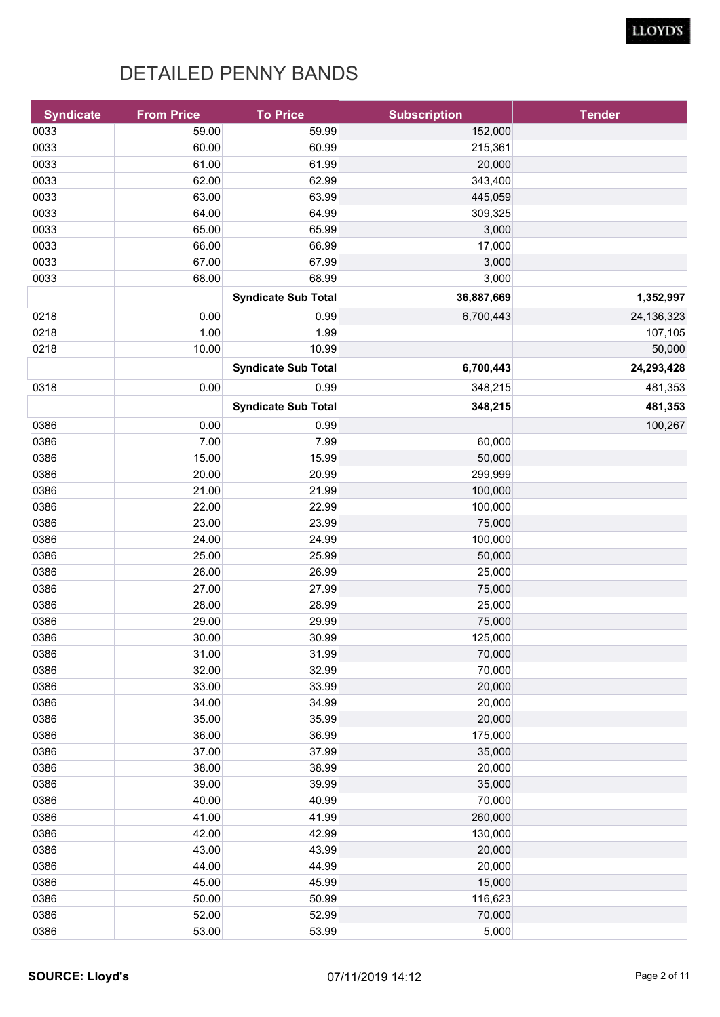| 59.00<br>0033<br>59.99<br>152,000<br>0033<br>60.00<br>60.99<br>215,361<br>61.00<br>0033<br>61.99<br>20,000<br>0033<br>62.00<br>62.99<br>343,400<br>0033<br>63.00<br>63.99<br>445,059<br>64.00<br>0033<br>64.99<br>309,325<br>65.00<br>0033<br>65.99<br>3,000<br>0033<br>66.00<br>66.99<br>17,000<br>0033<br>67.00<br>67.99<br>3,000<br>0033<br>68.00<br>68.99<br>3,000<br>36,887,669<br><b>Syndicate Sub Total</b><br>0218<br>0.00<br>6,700,443<br>0.99<br>1.00<br>0218<br>1.99<br>107,105<br>10.00<br>0218<br>10.99<br>6,700,443<br>24,293,428<br><b>Syndicate Sub Total</b><br>0.00<br>481,353<br>0318<br>0.99<br>348,215<br>481,353<br>348,215<br><b>Syndicate Sub Total</b><br>0386<br>0.00<br>100,267<br>0.99<br>7.00<br>0386<br>7.99<br>60,000<br>15.00<br>0386<br>15.99<br>50,000<br>0386<br>20.00<br>20.99<br>299,999<br>21.00<br>0386<br>21.99<br>100,000<br>0386<br>22.00<br>22.99<br>100,000<br>0386<br>23.00<br>75,000<br>23.99<br>0386<br>24.00<br>24.99<br>100,000<br>0386<br>25.00<br>25.99<br>50,000<br>0386<br>26.00<br>26.99<br>25,000<br>0386<br>27.00<br>27.99<br>75,000<br>0386<br>28.00<br>28.99<br>25,000<br>29.00<br>0386<br>29.99<br>75,000<br>0386<br>30.00<br>30.99<br>125,000<br>31.00<br>0386<br>31.99<br>70,000<br>0386<br>32.00<br>32.99<br>70,000<br>33.00<br>0386<br>33.99<br>20,000<br>34.00<br>0386<br>34.99<br>20,000<br>35.00<br>0386<br>35.99<br>20,000<br>0386<br>36.00<br>175,000<br>36.99<br>37.00<br>0386<br>37.99<br>35,000<br>38.00<br>0386<br>38.99<br>20,000<br>0386<br>39.00<br>39.99<br>35,000<br>40.00<br>0386<br>40.99<br>70,000<br>41.00<br>0386<br>41.99<br>260,000<br>42.00<br>0386<br>42.99<br>130,000<br>0386<br>43.00<br>43.99<br>20,000<br>0386<br>44.00<br>44.99<br>20,000<br>45.00<br>0386<br>45.99<br>15,000<br>50.00<br>0386<br>50.99<br>116,623<br>0386<br>52.00<br>52.99<br>70,000<br>53.00<br>0386<br>53.99<br>5,000 | <b>Syndicate</b> | <b>From Price</b> | <b>To Price</b> | <b>Subscription</b> | <b>Tender</b> |
|--------------------------------------------------------------------------------------------------------------------------------------------------------------------------------------------------------------------------------------------------------------------------------------------------------------------------------------------------------------------------------------------------------------------------------------------------------------------------------------------------------------------------------------------------------------------------------------------------------------------------------------------------------------------------------------------------------------------------------------------------------------------------------------------------------------------------------------------------------------------------------------------------------------------------------------------------------------------------------------------------------------------------------------------------------------------------------------------------------------------------------------------------------------------------------------------------------------------------------------------------------------------------------------------------------------------------------------------------------------------------------------------------------------------------------------------------------------------------------------------------------------------------------------------------------------------------------------------------------------------------------------------------------------------------------------------------------------------------------------------------------------------------------------------------------------------------------------------------------------------------------------|------------------|-------------------|-----------------|---------------------|---------------|
|                                                                                                                                                                                                                                                                                                                                                                                                                                                                                                                                                                                                                                                                                                                                                                                                                                                                                                                                                                                                                                                                                                                                                                                                                                                                                                                                                                                                                                                                                                                                                                                                                                                                                                                                                                                                                                                                                      |                  |                   |                 |                     |               |
|                                                                                                                                                                                                                                                                                                                                                                                                                                                                                                                                                                                                                                                                                                                                                                                                                                                                                                                                                                                                                                                                                                                                                                                                                                                                                                                                                                                                                                                                                                                                                                                                                                                                                                                                                                                                                                                                                      |                  |                   |                 |                     |               |
|                                                                                                                                                                                                                                                                                                                                                                                                                                                                                                                                                                                                                                                                                                                                                                                                                                                                                                                                                                                                                                                                                                                                                                                                                                                                                                                                                                                                                                                                                                                                                                                                                                                                                                                                                                                                                                                                                      |                  |                   |                 |                     |               |
|                                                                                                                                                                                                                                                                                                                                                                                                                                                                                                                                                                                                                                                                                                                                                                                                                                                                                                                                                                                                                                                                                                                                                                                                                                                                                                                                                                                                                                                                                                                                                                                                                                                                                                                                                                                                                                                                                      |                  |                   |                 |                     |               |
|                                                                                                                                                                                                                                                                                                                                                                                                                                                                                                                                                                                                                                                                                                                                                                                                                                                                                                                                                                                                                                                                                                                                                                                                                                                                                                                                                                                                                                                                                                                                                                                                                                                                                                                                                                                                                                                                                      |                  |                   |                 |                     |               |
|                                                                                                                                                                                                                                                                                                                                                                                                                                                                                                                                                                                                                                                                                                                                                                                                                                                                                                                                                                                                                                                                                                                                                                                                                                                                                                                                                                                                                                                                                                                                                                                                                                                                                                                                                                                                                                                                                      |                  |                   |                 |                     |               |
|                                                                                                                                                                                                                                                                                                                                                                                                                                                                                                                                                                                                                                                                                                                                                                                                                                                                                                                                                                                                                                                                                                                                                                                                                                                                                                                                                                                                                                                                                                                                                                                                                                                                                                                                                                                                                                                                                      |                  |                   |                 |                     |               |
|                                                                                                                                                                                                                                                                                                                                                                                                                                                                                                                                                                                                                                                                                                                                                                                                                                                                                                                                                                                                                                                                                                                                                                                                                                                                                                                                                                                                                                                                                                                                                                                                                                                                                                                                                                                                                                                                                      |                  |                   |                 |                     |               |
|                                                                                                                                                                                                                                                                                                                                                                                                                                                                                                                                                                                                                                                                                                                                                                                                                                                                                                                                                                                                                                                                                                                                                                                                                                                                                                                                                                                                                                                                                                                                                                                                                                                                                                                                                                                                                                                                                      |                  |                   |                 |                     |               |
|                                                                                                                                                                                                                                                                                                                                                                                                                                                                                                                                                                                                                                                                                                                                                                                                                                                                                                                                                                                                                                                                                                                                                                                                                                                                                                                                                                                                                                                                                                                                                                                                                                                                                                                                                                                                                                                                                      |                  |                   |                 |                     |               |
|                                                                                                                                                                                                                                                                                                                                                                                                                                                                                                                                                                                                                                                                                                                                                                                                                                                                                                                                                                                                                                                                                                                                                                                                                                                                                                                                                                                                                                                                                                                                                                                                                                                                                                                                                                                                                                                                                      |                  |                   |                 |                     | 1,352,997     |
|                                                                                                                                                                                                                                                                                                                                                                                                                                                                                                                                                                                                                                                                                                                                                                                                                                                                                                                                                                                                                                                                                                                                                                                                                                                                                                                                                                                                                                                                                                                                                                                                                                                                                                                                                                                                                                                                                      |                  |                   |                 |                     | 24,136,323    |
|                                                                                                                                                                                                                                                                                                                                                                                                                                                                                                                                                                                                                                                                                                                                                                                                                                                                                                                                                                                                                                                                                                                                                                                                                                                                                                                                                                                                                                                                                                                                                                                                                                                                                                                                                                                                                                                                                      |                  |                   |                 |                     |               |
|                                                                                                                                                                                                                                                                                                                                                                                                                                                                                                                                                                                                                                                                                                                                                                                                                                                                                                                                                                                                                                                                                                                                                                                                                                                                                                                                                                                                                                                                                                                                                                                                                                                                                                                                                                                                                                                                                      |                  |                   |                 |                     | 50,000        |
|                                                                                                                                                                                                                                                                                                                                                                                                                                                                                                                                                                                                                                                                                                                                                                                                                                                                                                                                                                                                                                                                                                                                                                                                                                                                                                                                                                                                                                                                                                                                                                                                                                                                                                                                                                                                                                                                                      |                  |                   |                 |                     |               |
|                                                                                                                                                                                                                                                                                                                                                                                                                                                                                                                                                                                                                                                                                                                                                                                                                                                                                                                                                                                                                                                                                                                                                                                                                                                                                                                                                                                                                                                                                                                                                                                                                                                                                                                                                                                                                                                                                      |                  |                   |                 |                     |               |
|                                                                                                                                                                                                                                                                                                                                                                                                                                                                                                                                                                                                                                                                                                                                                                                                                                                                                                                                                                                                                                                                                                                                                                                                                                                                                                                                                                                                                                                                                                                                                                                                                                                                                                                                                                                                                                                                                      |                  |                   |                 |                     |               |
|                                                                                                                                                                                                                                                                                                                                                                                                                                                                                                                                                                                                                                                                                                                                                                                                                                                                                                                                                                                                                                                                                                                                                                                                                                                                                                                                                                                                                                                                                                                                                                                                                                                                                                                                                                                                                                                                                      |                  |                   |                 |                     |               |
|                                                                                                                                                                                                                                                                                                                                                                                                                                                                                                                                                                                                                                                                                                                                                                                                                                                                                                                                                                                                                                                                                                                                                                                                                                                                                                                                                                                                                                                                                                                                                                                                                                                                                                                                                                                                                                                                                      |                  |                   |                 |                     |               |
|                                                                                                                                                                                                                                                                                                                                                                                                                                                                                                                                                                                                                                                                                                                                                                                                                                                                                                                                                                                                                                                                                                                                                                                                                                                                                                                                                                                                                                                                                                                                                                                                                                                                                                                                                                                                                                                                                      |                  |                   |                 |                     |               |
|                                                                                                                                                                                                                                                                                                                                                                                                                                                                                                                                                                                                                                                                                                                                                                                                                                                                                                                                                                                                                                                                                                                                                                                                                                                                                                                                                                                                                                                                                                                                                                                                                                                                                                                                                                                                                                                                                      |                  |                   |                 |                     |               |
|                                                                                                                                                                                                                                                                                                                                                                                                                                                                                                                                                                                                                                                                                                                                                                                                                                                                                                                                                                                                                                                                                                                                                                                                                                                                                                                                                                                                                                                                                                                                                                                                                                                                                                                                                                                                                                                                                      |                  |                   |                 |                     |               |
|                                                                                                                                                                                                                                                                                                                                                                                                                                                                                                                                                                                                                                                                                                                                                                                                                                                                                                                                                                                                                                                                                                                                                                                                                                                                                                                                                                                                                                                                                                                                                                                                                                                                                                                                                                                                                                                                                      |                  |                   |                 |                     |               |
|                                                                                                                                                                                                                                                                                                                                                                                                                                                                                                                                                                                                                                                                                                                                                                                                                                                                                                                                                                                                                                                                                                                                                                                                                                                                                                                                                                                                                                                                                                                                                                                                                                                                                                                                                                                                                                                                                      |                  |                   |                 |                     |               |
|                                                                                                                                                                                                                                                                                                                                                                                                                                                                                                                                                                                                                                                                                                                                                                                                                                                                                                                                                                                                                                                                                                                                                                                                                                                                                                                                                                                                                                                                                                                                                                                                                                                                                                                                                                                                                                                                                      |                  |                   |                 |                     |               |
|                                                                                                                                                                                                                                                                                                                                                                                                                                                                                                                                                                                                                                                                                                                                                                                                                                                                                                                                                                                                                                                                                                                                                                                                                                                                                                                                                                                                                                                                                                                                                                                                                                                                                                                                                                                                                                                                                      |                  |                   |                 |                     |               |
|                                                                                                                                                                                                                                                                                                                                                                                                                                                                                                                                                                                                                                                                                                                                                                                                                                                                                                                                                                                                                                                                                                                                                                                                                                                                                                                                                                                                                                                                                                                                                                                                                                                                                                                                                                                                                                                                                      |                  |                   |                 |                     |               |
|                                                                                                                                                                                                                                                                                                                                                                                                                                                                                                                                                                                                                                                                                                                                                                                                                                                                                                                                                                                                                                                                                                                                                                                                                                                                                                                                                                                                                                                                                                                                                                                                                                                                                                                                                                                                                                                                                      |                  |                   |                 |                     |               |
|                                                                                                                                                                                                                                                                                                                                                                                                                                                                                                                                                                                                                                                                                                                                                                                                                                                                                                                                                                                                                                                                                                                                                                                                                                                                                                                                                                                                                                                                                                                                                                                                                                                                                                                                                                                                                                                                                      |                  |                   |                 |                     |               |
|                                                                                                                                                                                                                                                                                                                                                                                                                                                                                                                                                                                                                                                                                                                                                                                                                                                                                                                                                                                                                                                                                                                                                                                                                                                                                                                                                                                                                                                                                                                                                                                                                                                                                                                                                                                                                                                                                      |                  |                   |                 |                     |               |
|                                                                                                                                                                                                                                                                                                                                                                                                                                                                                                                                                                                                                                                                                                                                                                                                                                                                                                                                                                                                                                                                                                                                                                                                                                                                                                                                                                                                                                                                                                                                                                                                                                                                                                                                                                                                                                                                                      |                  |                   |                 |                     |               |
|                                                                                                                                                                                                                                                                                                                                                                                                                                                                                                                                                                                                                                                                                                                                                                                                                                                                                                                                                                                                                                                                                                                                                                                                                                                                                                                                                                                                                                                                                                                                                                                                                                                                                                                                                                                                                                                                                      |                  |                   |                 |                     |               |
|                                                                                                                                                                                                                                                                                                                                                                                                                                                                                                                                                                                                                                                                                                                                                                                                                                                                                                                                                                                                                                                                                                                                                                                                                                                                                                                                                                                                                                                                                                                                                                                                                                                                                                                                                                                                                                                                                      |                  |                   |                 |                     |               |
|                                                                                                                                                                                                                                                                                                                                                                                                                                                                                                                                                                                                                                                                                                                                                                                                                                                                                                                                                                                                                                                                                                                                                                                                                                                                                                                                                                                                                                                                                                                                                                                                                                                                                                                                                                                                                                                                                      |                  |                   |                 |                     |               |
|                                                                                                                                                                                                                                                                                                                                                                                                                                                                                                                                                                                                                                                                                                                                                                                                                                                                                                                                                                                                                                                                                                                                                                                                                                                                                                                                                                                                                                                                                                                                                                                                                                                                                                                                                                                                                                                                                      |                  |                   |                 |                     |               |
|                                                                                                                                                                                                                                                                                                                                                                                                                                                                                                                                                                                                                                                                                                                                                                                                                                                                                                                                                                                                                                                                                                                                                                                                                                                                                                                                                                                                                                                                                                                                                                                                                                                                                                                                                                                                                                                                                      |                  |                   |                 |                     |               |
|                                                                                                                                                                                                                                                                                                                                                                                                                                                                                                                                                                                                                                                                                                                                                                                                                                                                                                                                                                                                                                                                                                                                                                                                                                                                                                                                                                                                                                                                                                                                                                                                                                                                                                                                                                                                                                                                                      |                  |                   |                 |                     |               |
|                                                                                                                                                                                                                                                                                                                                                                                                                                                                                                                                                                                                                                                                                                                                                                                                                                                                                                                                                                                                                                                                                                                                                                                                                                                                                                                                                                                                                                                                                                                                                                                                                                                                                                                                                                                                                                                                                      |                  |                   |                 |                     |               |
|                                                                                                                                                                                                                                                                                                                                                                                                                                                                                                                                                                                                                                                                                                                                                                                                                                                                                                                                                                                                                                                                                                                                                                                                                                                                                                                                                                                                                                                                                                                                                                                                                                                                                                                                                                                                                                                                                      |                  |                   |                 |                     |               |
|                                                                                                                                                                                                                                                                                                                                                                                                                                                                                                                                                                                                                                                                                                                                                                                                                                                                                                                                                                                                                                                                                                                                                                                                                                                                                                                                                                                                                                                                                                                                                                                                                                                                                                                                                                                                                                                                                      |                  |                   |                 |                     |               |
|                                                                                                                                                                                                                                                                                                                                                                                                                                                                                                                                                                                                                                                                                                                                                                                                                                                                                                                                                                                                                                                                                                                                                                                                                                                                                                                                                                                                                                                                                                                                                                                                                                                                                                                                                                                                                                                                                      |                  |                   |                 |                     |               |
|                                                                                                                                                                                                                                                                                                                                                                                                                                                                                                                                                                                                                                                                                                                                                                                                                                                                                                                                                                                                                                                                                                                                                                                                                                                                                                                                                                                                                                                                                                                                                                                                                                                                                                                                                                                                                                                                                      |                  |                   |                 |                     |               |
|                                                                                                                                                                                                                                                                                                                                                                                                                                                                                                                                                                                                                                                                                                                                                                                                                                                                                                                                                                                                                                                                                                                                                                                                                                                                                                                                                                                                                                                                                                                                                                                                                                                                                                                                                                                                                                                                                      |                  |                   |                 |                     |               |
|                                                                                                                                                                                                                                                                                                                                                                                                                                                                                                                                                                                                                                                                                                                                                                                                                                                                                                                                                                                                                                                                                                                                                                                                                                                                                                                                                                                                                                                                                                                                                                                                                                                                                                                                                                                                                                                                                      |                  |                   |                 |                     |               |
|                                                                                                                                                                                                                                                                                                                                                                                                                                                                                                                                                                                                                                                                                                                                                                                                                                                                                                                                                                                                                                                                                                                                                                                                                                                                                                                                                                                                                                                                                                                                                                                                                                                                                                                                                                                                                                                                                      |                  |                   |                 |                     |               |
|                                                                                                                                                                                                                                                                                                                                                                                                                                                                                                                                                                                                                                                                                                                                                                                                                                                                                                                                                                                                                                                                                                                                                                                                                                                                                                                                                                                                                                                                                                                                                                                                                                                                                                                                                                                                                                                                                      |                  |                   |                 |                     |               |
|                                                                                                                                                                                                                                                                                                                                                                                                                                                                                                                                                                                                                                                                                                                                                                                                                                                                                                                                                                                                                                                                                                                                                                                                                                                                                                                                                                                                                                                                                                                                                                                                                                                                                                                                                                                                                                                                                      |                  |                   |                 |                     |               |
|                                                                                                                                                                                                                                                                                                                                                                                                                                                                                                                                                                                                                                                                                                                                                                                                                                                                                                                                                                                                                                                                                                                                                                                                                                                                                                                                                                                                                                                                                                                                                                                                                                                                                                                                                                                                                                                                                      |                  |                   |                 |                     |               |
|                                                                                                                                                                                                                                                                                                                                                                                                                                                                                                                                                                                                                                                                                                                                                                                                                                                                                                                                                                                                                                                                                                                                                                                                                                                                                                                                                                                                                                                                                                                                                                                                                                                                                                                                                                                                                                                                                      |                  |                   |                 |                     |               |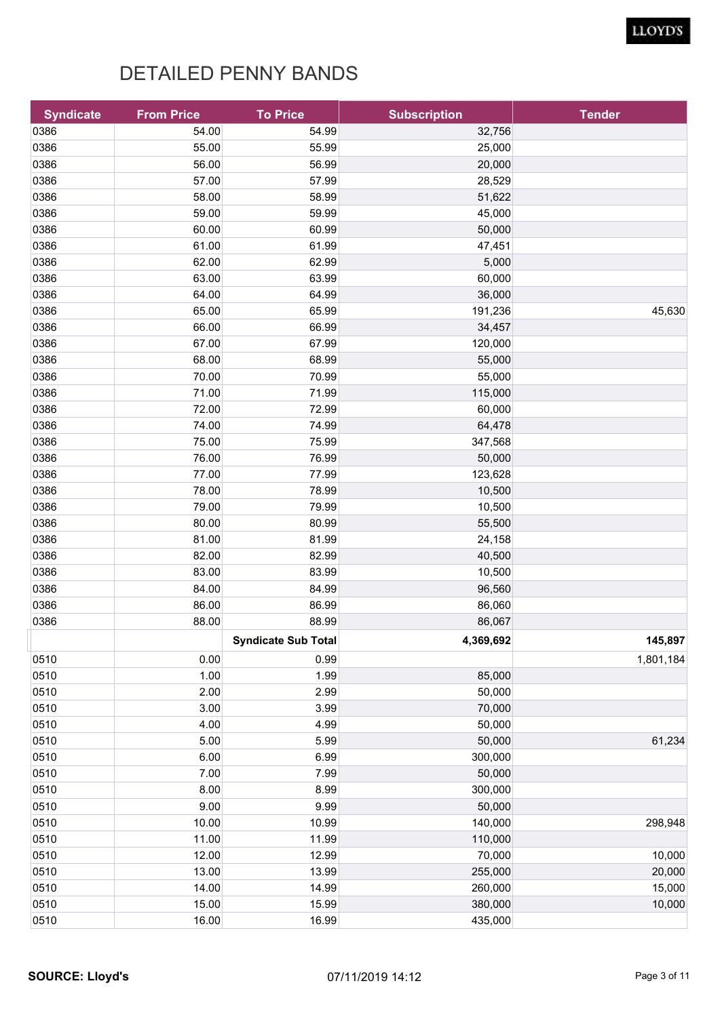| 0386<br>54.00<br>54.99<br>32,756<br>0386<br>55.00<br>55.99<br>25,000<br>56.00<br>0386<br>56.99<br>20,000<br>57.00<br>0386<br>57.99<br>28,529<br>0386<br>58.00<br>58.99<br>51,622<br>0386<br>59.00<br>59.99<br>45,000<br>0386<br>60.00<br>60.99<br>50,000<br>61.00<br>0386<br>61.99<br>47,451<br>62.00<br>0386<br>62.99<br>5,000<br>0386<br>63.00<br>60,000<br>63.99<br>64.00<br>64.99<br>0386<br>36,000<br>65.00<br>0386<br>65.99<br>191,236<br>45,630<br>66.00<br>0386<br>66.99<br>34,457<br>67.00<br>0386<br>67.99<br>120,000<br>68.00<br>0386<br>68.99<br>55,000<br>70.00<br>0386<br>70.99<br>55,000<br>71.00<br>0386<br>71.99<br>115,000<br>0386<br>72.00<br>72.99<br>60,000<br>0386<br>74.00<br>74.99<br>64,478<br>75.00<br>0386<br>75.99<br>347,568<br>76.00<br>0386<br>76.99<br>50,000<br>0386<br>77.00<br>77.99<br>123,628<br>0386<br>78.00<br>78.99<br>10,500<br>79.00<br>0386<br>79.99<br>10,500<br>80.00<br>0386<br>80.99<br>55,500<br>81.00<br>0386<br>81.99<br>24,158<br>82.00<br>0386<br>82.99<br>40,500<br>0386<br>83.00<br>83.99<br>10,500<br>84.00<br>0386<br>84.99<br>96,560<br>86.00<br>0386<br>86.99<br>86,060<br>0386<br>88.00<br>86,067<br>88.99<br>4,369,692<br>145,897<br><b>Syndicate Sub Total</b><br>1,801,184<br>0510<br>0.00<br>0.99<br>1.00<br>0510<br>1.99<br>85,000<br>2.00<br>2.99<br>50,000<br>0510<br>0510<br>3.00<br>3.99<br>70,000<br>0510<br>4.00<br>4.99<br>50,000<br>5.00<br>5.99<br>50,000<br>61,234<br>0510<br>6.00<br>6.99<br>0510<br>300,000<br>7.00<br>7.99<br>50,000<br>0510<br>8.00<br>8.99<br>300,000<br>9.00<br>9.99<br>50,000<br>0510<br>140,000<br>10.00<br>10.99<br>298,948<br>11.00<br>11.99<br>110,000<br>12.00<br>10,000<br>12.99<br>70,000<br>13.00<br>13.99<br>255,000<br>20,000<br>14.00<br>14.99<br>260,000<br>15,000<br>15.00<br>10,000<br>15.99<br>380,000<br>16.00<br>16.99<br>435,000 | <b>Syndicate</b> | <b>From Price</b> | <b>To Price</b> | <b>Subscription</b> | <b>Tender</b> |
|------------------------------------------------------------------------------------------------------------------------------------------------------------------------------------------------------------------------------------------------------------------------------------------------------------------------------------------------------------------------------------------------------------------------------------------------------------------------------------------------------------------------------------------------------------------------------------------------------------------------------------------------------------------------------------------------------------------------------------------------------------------------------------------------------------------------------------------------------------------------------------------------------------------------------------------------------------------------------------------------------------------------------------------------------------------------------------------------------------------------------------------------------------------------------------------------------------------------------------------------------------------------------------------------------------------------------------------------------------------------------------------------------------------------------------------------------------------------------------------------------------------------------------------------------------------------------------------------------------------------------------------------------------------------------------------------------------------------------------------------------------------------------------------------------------------------------------------------------|------------------|-------------------|-----------------|---------------------|---------------|
|                                                                                                                                                                                                                                                                                                                                                                                                                                                                                                                                                                                                                                                                                                                                                                                                                                                                                                                                                                                                                                                                                                                                                                                                                                                                                                                                                                                                                                                                                                                                                                                                                                                                                                                                                                                                                                                      |                  |                   |                 |                     |               |
|                                                                                                                                                                                                                                                                                                                                                                                                                                                                                                                                                                                                                                                                                                                                                                                                                                                                                                                                                                                                                                                                                                                                                                                                                                                                                                                                                                                                                                                                                                                                                                                                                                                                                                                                                                                                                                                      |                  |                   |                 |                     |               |
|                                                                                                                                                                                                                                                                                                                                                                                                                                                                                                                                                                                                                                                                                                                                                                                                                                                                                                                                                                                                                                                                                                                                                                                                                                                                                                                                                                                                                                                                                                                                                                                                                                                                                                                                                                                                                                                      |                  |                   |                 |                     |               |
|                                                                                                                                                                                                                                                                                                                                                                                                                                                                                                                                                                                                                                                                                                                                                                                                                                                                                                                                                                                                                                                                                                                                                                                                                                                                                                                                                                                                                                                                                                                                                                                                                                                                                                                                                                                                                                                      |                  |                   |                 |                     |               |
|                                                                                                                                                                                                                                                                                                                                                                                                                                                                                                                                                                                                                                                                                                                                                                                                                                                                                                                                                                                                                                                                                                                                                                                                                                                                                                                                                                                                                                                                                                                                                                                                                                                                                                                                                                                                                                                      |                  |                   |                 |                     |               |
|                                                                                                                                                                                                                                                                                                                                                                                                                                                                                                                                                                                                                                                                                                                                                                                                                                                                                                                                                                                                                                                                                                                                                                                                                                                                                                                                                                                                                                                                                                                                                                                                                                                                                                                                                                                                                                                      |                  |                   |                 |                     |               |
|                                                                                                                                                                                                                                                                                                                                                                                                                                                                                                                                                                                                                                                                                                                                                                                                                                                                                                                                                                                                                                                                                                                                                                                                                                                                                                                                                                                                                                                                                                                                                                                                                                                                                                                                                                                                                                                      |                  |                   |                 |                     |               |
|                                                                                                                                                                                                                                                                                                                                                                                                                                                                                                                                                                                                                                                                                                                                                                                                                                                                                                                                                                                                                                                                                                                                                                                                                                                                                                                                                                                                                                                                                                                                                                                                                                                                                                                                                                                                                                                      |                  |                   |                 |                     |               |
|                                                                                                                                                                                                                                                                                                                                                                                                                                                                                                                                                                                                                                                                                                                                                                                                                                                                                                                                                                                                                                                                                                                                                                                                                                                                                                                                                                                                                                                                                                                                                                                                                                                                                                                                                                                                                                                      |                  |                   |                 |                     |               |
|                                                                                                                                                                                                                                                                                                                                                                                                                                                                                                                                                                                                                                                                                                                                                                                                                                                                                                                                                                                                                                                                                                                                                                                                                                                                                                                                                                                                                                                                                                                                                                                                                                                                                                                                                                                                                                                      |                  |                   |                 |                     |               |
|                                                                                                                                                                                                                                                                                                                                                                                                                                                                                                                                                                                                                                                                                                                                                                                                                                                                                                                                                                                                                                                                                                                                                                                                                                                                                                                                                                                                                                                                                                                                                                                                                                                                                                                                                                                                                                                      |                  |                   |                 |                     |               |
|                                                                                                                                                                                                                                                                                                                                                                                                                                                                                                                                                                                                                                                                                                                                                                                                                                                                                                                                                                                                                                                                                                                                                                                                                                                                                                                                                                                                                                                                                                                                                                                                                                                                                                                                                                                                                                                      |                  |                   |                 |                     |               |
|                                                                                                                                                                                                                                                                                                                                                                                                                                                                                                                                                                                                                                                                                                                                                                                                                                                                                                                                                                                                                                                                                                                                                                                                                                                                                                                                                                                                                                                                                                                                                                                                                                                                                                                                                                                                                                                      |                  |                   |                 |                     |               |
|                                                                                                                                                                                                                                                                                                                                                                                                                                                                                                                                                                                                                                                                                                                                                                                                                                                                                                                                                                                                                                                                                                                                                                                                                                                                                                                                                                                                                                                                                                                                                                                                                                                                                                                                                                                                                                                      |                  |                   |                 |                     |               |
|                                                                                                                                                                                                                                                                                                                                                                                                                                                                                                                                                                                                                                                                                                                                                                                                                                                                                                                                                                                                                                                                                                                                                                                                                                                                                                                                                                                                                                                                                                                                                                                                                                                                                                                                                                                                                                                      |                  |                   |                 |                     |               |
|                                                                                                                                                                                                                                                                                                                                                                                                                                                                                                                                                                                                                                                                                                                                                                                                                                                                                                                                                                                                                                                                                                                                                                                                                                                                                                                                                                                                                                                                                                                                                                                                                                                                                                                                                                                                                                                      |                  |                   |                 |                     |               |
|                                                                                                                                                                                                                                                                                                                                                                                                                                                                                                                                                                                                                                                                                                                                                                                                                                                                                                                                                                                                                                                                                                                                                                                                                                                                                                                                                                                                                                                                                                                                                                                                                                                                                                                                                                                                                                                      |                  |                   |                 |                     |               |
|                                                                                                                                                                                                                                                                                                                                                                                                                                                                                                                                                                                                                                                                                                                                                                                                                                                                                                                                                                                                                                                                                                                                                                                                                                                                                                                                                                                                                                                                                                                                                                                                                                                                                                                                                                                                                                                      |                  |                   |                 |                     |               |
|                                                                                                                                                                                                                                                                                                                                                                                                                                                                                                                                                                                                                                                                                                                                                                                                                                                                                                                                                                                                                                                                                                                                                                                                                                                                                                                                                                                                                                                                                                                                                                                                                                                                                                                                                                                                                                                      |                  |                   |                 |                     |               |
|                                                                                                                                                                                                                                                                                                                                                                                                                                                                                                                                                                                                                                                                                                                                                                                                                                                                                                                                                                                                                                                                                                                                                                                                                                                                                                                                                                                                                                                                                                                                                                                                                                                                                                                                                                                                                                                      |                  |                   |                 |                     |               |
|                                                                                                                                                                                                                                                                                                                                                                                                                                                                                                                                                                                                                                                                                                                                                                                                                                                                                                                                                                                                                                                                                                                                                                                                                                                                                                                                                                                                                                                                                                                                                                                                                                                                                                                                                                                                                                                      |                  |                   |                 |                     |               |
|                                                                                                                                                                                                                                                                                                                                                                                                                                                                                                                                                                                                                                                                                                                                                                                                                                                                                                                                                                                                                                                                                                                                                                                                                                                                                                                                                                                                                                                                                                                                                                                                                                                                                                                                                                                                                                                      |                  |                   |                 |                     |               |
|                                                                                                                                                                                                                                                                                                                                                                                                                                                                                                                                                                                                                                                                                                                                                                                                                                                                                                                                                                                                                                                                                                                                                                                                                                                                                                                                                                                                                                                                                                                                                                                                                                                                                                                                                                                                                                                      |                  |                   |                 |                     |               |
|                                                                                                                                                                                                                                                                                                                                                                                                                                                                                                                                                                                                                                                                                                                                                                                                                                                                                                                                                                                                                                                                                                                                                                                                                                                                                                                                                                                                                                                                                                                                                                                                                                                                                                                                                                                                                                                      |                  |                   |                 |                     |               |
|                                                                                                                                                                                                                                                                                                                                                                                                                                                                                                                                                                                                                                                                                                                                                                                                                                                                                                                                                                                                                                                                                                                                                                                                                                                                                                                                                                                                                                                                                                                                                                                                                                                                                                                                                                                                                                                      |                  |                   |                 |                     |               |
|                                                                                                                                                                                                                                                                                                                                                                                                                                                                                                                                                                                                                                                                                                                                                                                                                                                                                                                                                                                                                                                                                                                                                                                                                                                                                                                                                                                                                                                                                                                                                                                                                                                                                                                                                                                                                                                      |                  |                   |                 |                     |               |
|                                                                                                                                                                                                                                                                                                                                                                                                                                                                                                                                                                                                                                                                                                                                                                                                                                                                                                                                                                                                                                                                                                                                                                                                                                                                                                                                                                                                                                                                                                                                                                                                                                                                                                                                                                                                                                                      |                  |                   |                 |                     |               |
|                                                                                                                                                                                                                                                                                                                                                                                                                                                                                                                                                                                                                                                                                                                                                                                                                                                                                                                                                                                                                                                                                                                                                                                                                                                                                                                                                                                                                                                                                                                                                                                                                                                                                                                                                                                                                                                      |                  |                   |                 |                     |               |
|                                                                                                                                                                                                                                                                                                                                                                                                                                                                                                                                                                                                                                                                                                                                                                                                                                                                                                                                                                                                                                                                                                                                                                                                                                                                                                                                                                                                                                                                                                                                                                                                                                                                                                                                                                                                                                                      |                  |                   |                 |                     |               |
|                                                                                                                                                                                                                                                                                                                                                                                                                                                                                                                                                                                                                                                                                                                                                                                                                                                                                                                                                                                                                                                                                                                                                                                                                                                                                                                                                                                                                                                                                                                                                                                                                                                                                                                                                                                                                                                      |                  |                   |                 |                     |               |
|                                                                                                                                                                                                                                                                                                                                                                                                                                                                                                                                                                                                                                                                                                                                                                                                                                                                                                                                                                                                                                                                                                                                                                                                                                                                                                                                                                                                                                                                                                                                                                                                                                                                                                                                                                                                                                                      |                  |                   |                 |                     |               |
|                                                                                                                                                                                                                                                                                                                                                                                                                                                                                                                                                                                                                                                                                                                                                                                                                                                                                                                                                                                                                                                                                                                                                                                                                                                                                                                                                                                                                                                                                                                                                                                                                                                                                                                                                                                                                                                      |                  |                   |                 |                     |               |
|                                                                                                                                                                                                                                                                                                                                                                                                                                                                                                                                                                                                                                                                                                                                                                                                                                                                                                                                                                                                                                                                                                                                                                                                                                                                                                                                                                                                                                                                                                                                                                                                                                                                                                                                                                                                                                                      |                  |                   |                 |                     |               |
|                                                                                                                                                                                                                                                                                                                                                                                                                                                                                                                                                                                                                                                                                                                                                                                                                                                                                                                                                                                                                                                                                                                                                                                                                                                                                                                                                                                                                                                                                                                                                                                                                                                                                                                                                                                                                                                      |                  |                   |                 |                     |               |
|                                                                                                                                                                                                                                                                                                                                                                                                                                                                                                                                                                                                                                                                                                                                                                                                                                                                                                                                                                                                                                                                                                                                                                                                                                                                                                                                                                                                                                                                                                                                                                                                                                                                                                                                                                                                                                                      |                  |                   |                 |                     |               |
|                                                                                                                                                                                                                                                                                                                                                                                                                                                                                                                                                                                                                                                                                                                                                                                                                                                                                                                                                                                                                                                                                                                                                                                                                                                                                                                                                                                                                                                                                                                                                                                                                                                                                                                                                                                                                                                      |                  |                   |                 |                     |               |
|                                                                                                                                                                                                                                                                                                                                                                                                                                                                                                                                                                                                                                                                                                                                                                                                                                                                                                                                                                                                                                                                                                                                                                                                                                                                                                                                                                                                                                                                                                                                                                                                                                                                                                                                                                                                                                                      |                  |                   |                 |                     |               |
|                                                                                                                                                                                                                                                                                                                                                                                                                                                                                                                                                                                                                                                                                                                                                                                                                                                                                                                                                                                                                                                                                                                                                                                                                                                                                                                                                                                                                                                                                                                                                                                                                                                                                                                                                                                                                                                      |                  |                   |                 |                     |               |
|                                                                                                                                                                                                                                                                                                                                                                                                                                                                                                                                                                                                                                                                                                                                                                                                                                                                                                                                                                                                                                                                                                                                                                                                                                                                                                                                                                                                                                                                                                                                                                                                                                                                                                                                                                                                                                                      |                  |                   |                 |                     |               |
|                                                                                                                                                                                                                                                                                                                                                                                                                                                                                                                                                                                                                                                                                                                                                                                                                                                                                                                                                                                                                                                                                                                                                                                                                                                                                                                                                                                                                                                                                                                                                                                                                                                                                                                                                                                                                                                      | 0510             |                   |                 |                     |               |
|                                                                                                                                                                                                                                                                                                                                                                                                                                                                                                                                                                                                                                                                                                                                                                                                                                                                                                                                                                                                                                                                                                                                                                                                                                                                                                                                                                                                                                                                                                                                                                                                                                                                                                                                                                                                                                                      |                  |                   |                 |                     |               |
|                                                                                                                                                                                                                                                                                                                                                                                                                                                                                                                                                                                                                                                                                                                                                                                                                                                                                                                                                                                                                                                                                                                                                                                                                                                                                                                                                                                                                                                                                                                                                                                                                                                                                                                                                                                                                                                      |                  |                   |                 |                     |               |
|                                                                                                                                                                                                                                                                                                                                                                                                                                                                                                                                                                                                                                                                                                                                                                                                                                                                                                                                                                                                                                                                                                                                                                                                                                                                                                                                                                                                                                                                                                                                                                                                                                                                                                                                                                                                                                                      | 0510             |                   |                 |                     |               |
|                                                                                                                                                                                                                                                                                                                                                                                                                                                                                                                                                                                                                                                                                                                                                                                                                                                                                                                                                                                                                                                                                                                                                                                                                                                                                                                                                                                                                                                                                                                                                                                                                                                                                                                                                                                                                                                      | 0510             |                   |                 |                     |               |
|                                                                                                                                                                                                                                                                                                                                                                                                                                                                                                                                                                                                                                                                                                                                                                                                                                                                                                                                                                                                                                                                                                                                                                                                                                                                                                                                                                                                                                                                                                                                                                                                                                                                                                                                                                                                                                                      | 0510             |                   |                 |                     |               |
|                                                                                                                                                                                                                                                                                                                                                                                                                                                                                                                                                                                                                                                                                                                                                                                                                                                                                                                                                                                                                                                                                                                                                                                                                                                                                                                                                                                                                                                                                                                                                                                                                                                                                                                                                                                                                                                      | 0510             |                   |                 |                     |               |
|                                                                                                                                                                                                                                                                                                                                                                                                                                                                                                                                                                                                                                                                                                                                                                                                                                                                                                                                                                                                                                                                                                                                                                                                                                                                                                                                                                                                                                                                                                                                                                                                                                                                                                                                                                                                                                                      | 0510             |                   |                 |                     |               |
|                                                                                                                                                                                                                                                                                                                                                                                                                                                                                                                                                                                                                                                                                                                                                                                                                                                                                                                                                                                                                                                                                                                                                                                                                                                                                                                                                                                                                                                                                                                                                                                                                                                                                                                                                                                                                                                      | 0510             |                   |                 |                     |               |
|                                                                                                                                                                                                                                                                                                                                                                                                                                                                                                                                                                                                                                                                                                                                                                                                                                                                                                                                                                                                                                                                                                                                                                                                                                                                                                                                                                                                                                                                                                                                                                                                                                                                                                                                                                                                                                                      | 0510             |                   |                 |                     |               |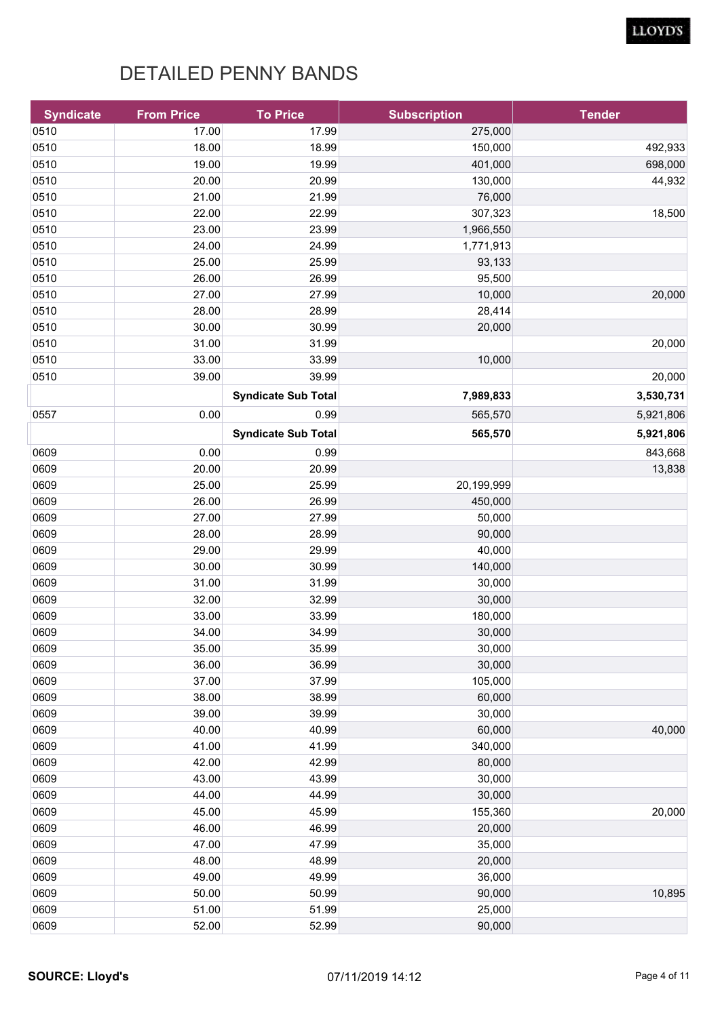| <b>Syndicate</b> | <b>From Price</b> | <b>To Price</b>            | <b>Subscription</b> | <b>Tender</b> |
|------------------|-------------------|----------------------------|---------------------|---------------|
| 0510             | 17.00             | 17.99                      | 275,000             |               |
| 0510             | 18.00             | 18.99                      | 150,000             | 492,933       |
| 0510             | 19.00             | 19.99                      | 401,000             | 698,000       |
| 0510             | 20.00             | 20.99                      | 130,000             | 44,932        |
| 0510             | 21.00             | 21.99                      | 76,000              |               |
| 0510             | 22.00             | 22.99                      | 307,323             | 18,500        |
| 0510             | 23.00             | 23.99                      | 1,966,550           |               |
| 0510             | 24.00             | 24.99                      | 1,771,913           |               |
| 0510             | 25.00             | 25.99                      | 93,133              |               |
| 0510             | 26.00             | 26.99                      | 95,500              |               |
| 0510             | 27.00             | 27.99                      | 10,000              | 20,000        |
| 0510             | 28.00             | 28.99                      | 28,414              |               |
| 0510             | 30.00             | 30.99                      | 20,000              |               |
| 0510             | 31.00             | 31.99                      |                     | 20,000        |
| 0510             | 33.00             | 33.99                      | 10,000              |               |
| 0510             | 39.00             | 39.99                      |                     | 20,000        |
|                  |                   | <b>Syndicate Sub Total</b> | 7,989,833           | 3,530,731     |
| 0557             | 0.00              | 0.99                       | 565,570             | 5,921,806     |
|                  |                   | <b>Syndicate Sub Total</b> | 565,570             | 5,921,806     |
| 0609             | 0.00              | 0.99                       |                     | 843,668       |
| 0609             | 20.00             | 20.99                      |                     | 13,838        |
| 0609             | 25.00             | 25.99                      | 20,199,999          |               |
| 0609             | 26.00             | 26.99                      | 450,000             |               |
| 0609             | 27.00             | 27.99                      | 50,000              |               |
| 0609             | 28.00             | 28.99                      | 90,000              |               |
| 0609             | 29.00             | 29.99                      | 40,000              |               |
| 0609             | 30.00             | 30.99                      | 140,000             |               |
| 0609             | 31.00             | 31.99                      | 30,000              |               |
| 0609             | 32.00             | 32.99                      | 30,000              |               |
| 0609             | 33.00             | 33.99                      | 180,000             |               |
| 0609             | 34.00             | 34.99                      | 30,000              |               |
| 0609             | 35.00             | 35.99                      | 30,000              |               |
| 0609             | 36.00             | 36.99                      | 30,000              |               |
| 0609             | 37.00             | 37.99                      | 105,000             |               |
| 0609             | 38.00             | 38.99                      | 60,000              |               |
| 0609             | 39.00             | 39.99                      | 30,000              |               |
| 0609             | 40.00             | 40.99                      | 60,000              | 40,000        |
| 0609             | 41.00             | 41.99                      | 340,000             |               |
| 0609             | 42.00             | 42.99                      | 80,000              |               |
| 0609             | 43.00             | 43.99                      | 30,000              |               |
| 0609             | 44.00             | 44.99                      | 30,000              |               |
| 0609             | 45.00             | 45.99                      | 155,360             | 20,000        |
| 0609             | 46.00             | 46.99                      | 20,000              |               |
| 0609             | 47.00             | 47.99                      | 35,000              |               |
| 0609             | 48.00             | 48.99                      | 20,000              |               |
| 0609             | 49.00             | 49.99                      | 36,000              |               |
| 0609             | 50.00             | 50.99                      | 90,000              | 10,895        |
| 0609             | 51.00             | 51.99                      | 25,000              |               |
| 0609             | 52.00             | 52.99                      | 90,000              |               |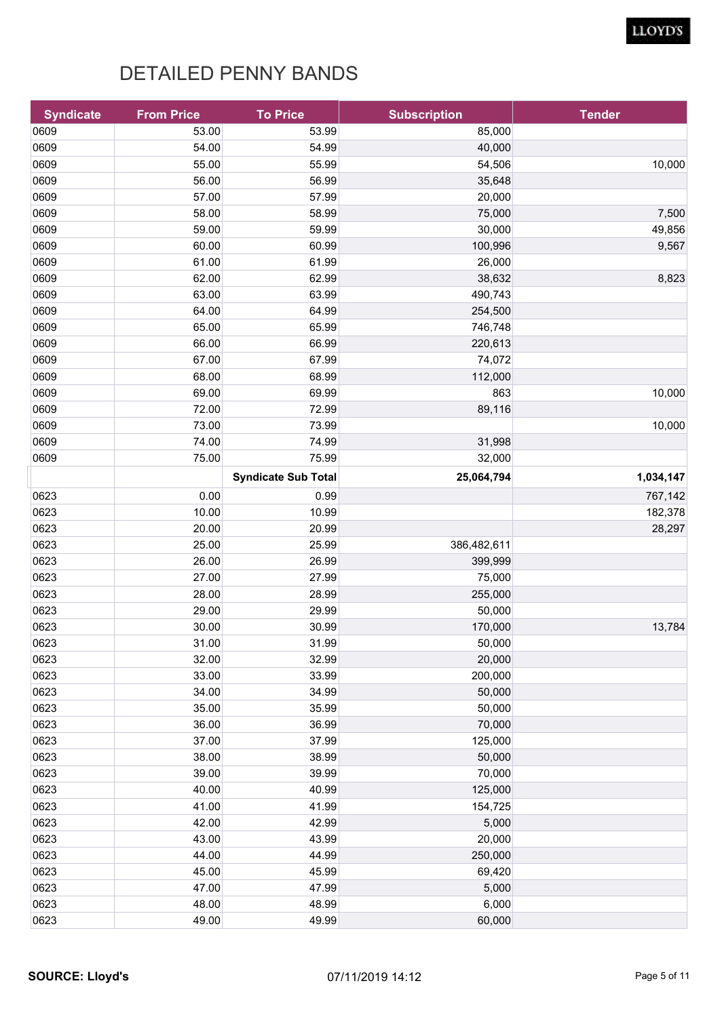| <b>Syndicate</b> | <b>From Price</b> | <b>To Price</b>            | <b>Subscription</b> | <b>Tender</b> |
|------------------|-------------------|----------------------------|---------------------|---------------|
| 0609             | 53.00             | 53.99                      | 85,000              |               |
| 0609             | 54.00             | 54.99                      | 40,000              |               |
| 0609             | 55.00             | 55.99                      | 54,506              | 10,000        |
| 0609             | 56.00             | 56.99                      | 35,648              |               |
| 0609             | 57.00             | 57.99                      | 20,000              |               |
| 0609             | 58.00             | 58.99                      | 75,000              | 7,500         |
| 0609             | 59.00             | 59.99                      | 30,000              | 49,856        |
| 0609             | 60.00             | 60.99                      | 100,996             | 9,567         |
| 0609             | 61.00             | 61.99                      | 26,000              |               |
| 0609             | 62.00             | 62.99                      | 38,632              | 8,823         |
| 0609             | 63.00             | 63.99                      | 490,743             |               |
| 0609             | 64.00             | 64.99                      | 254,500             |               |
| 0609             | 65.00             | 65.99                      | 746,748             |               |
| 0609             | 66.00             | 66.99                      | 220,613             |               |
| 0609             | 67.00             | 67.99                      | 74,072              |               |
| 0609             | 68.00             | 68.99                      | 112,000             |               |
| 0609             | 69.00             | 69.99                      | 863                 | 10,000        |
| 0609             | 72.00             | 72.99                      | 89,116              |               |
| 0609             | 73.00             | 73.99                      |                     | 10,000        |
| 0609             | 74.00             | 74.99                      | 31,998              |               |
| 0609             | 75.00             | 75.99                      | 32,000              |               |
|                  |                   | <b>Syndicate Sub Total</b> | 25,064,794          | 1,034,147     |
| 0623             | 0.00              | 0.99                       |                     | 767,142       |
| 0623             | 10.00             | 10.99                      |                     | 182,378       |
| 0623             | 20.00             | 20.99                      |                     | 28,297        |
| 0623             | 25.00             | 25.99                      | 386,482,611         |               |
| 0623             | 26.00             | 26.99                      | 399,999             |               |
| 0623             | 27.00             | 27.99                      | 75,000              |               |
| 0623             | 28.00             | 28.99                      | 255,000             |               |
| 0623             | 29.00             | 29.99                      | 50,000              |               |
| 0623             | 30.00             | 30.99                      | 170,000             | 13,784        |
| 0623             | 31.00             | 31.99                      | 50,000              |               |
| 0623             | 32.00             | 32.99                      | 20,000              |               |
| 0623             | 33.00             | 33.99                      | 200,000             |               |
| 0623             | 34.00             | 34.99                      | 50,000              |               |
| 0623             | 35.00             | 35.99                      | 50,000              |               |
| 0623             | 36.00             | 36.99                      | 70,000              |               |
| 0623             | 37.00             | 37.99                      | 125,000             |               |
| 0623             | 38.00             | 38.99                      | 50,000              |               |
| 0623             | 39.00             | 39.99                      | 70,000              |               |
| 0623             | 40.00             | 40.99                      | 125,000             |               |
| 0623             | 41.00             | 41.99                      | 154,725             |               |
| 0623             | 42.00             | 42.99                      | 5,000               |               |
| 0623             | 43.00             | 43.99                      | 20,000              |               |
| 0623             | 44.00             | 44.99                      | 250,000             |               |
| 0623             | 45.00             | 45.99                      | 69,420              |               |
| 0623             | 47.00             | 47.99                      | 5,000               |               |
| 0623             | 48.00             | 48.99                      | 6,000               |               |
| 0623             | 49.00             | 49.99                      | 60,000              |               |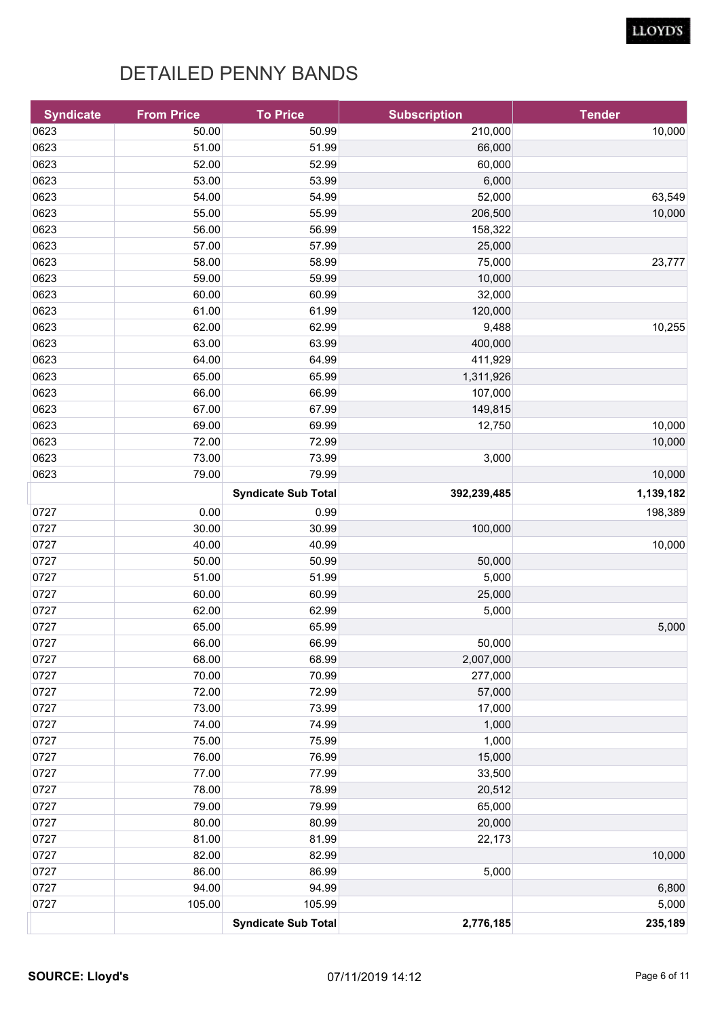| <b>Syndicate</b> | <b>From Price</b> | <b>To Price</b>            | <b>Subscription</b> | <b>Tender</b> |
|------------------|-------------------|----------------------------|---------------------|---------------|
| 0623             | 50.00             | 50.99                      | 210,000             | 10,000        |
| 0623             | 51.00             | 51.99                      | 66,000              |               |
| 0623             | 52.00             | 52.99                      | 60,000              |               |
| 0623             | 53.00             | 53.99                      | 6,000               |               |
| 0623             | 54.00             | 54.99                      | 52,000              | 63,549        |
| 0623             | 55.00             | 55.99                      | 206,500             | 10,000        |
| 0623             | 56.00             | 56.99                      | 158,322             |               |
| 0623             | 57.00             | 57.99                      | 25,000              |               |
| 0623             | 58.00             | 58.99                      | 75,000              | 23,777        |
| 0623             | 59.00             | 59.99                      | 10,000              |               |
| 0623             | 60.00             | 60.99                      | 32,000              |               |
| 0623             | 61.00             | 61.99                      | 120,000             |               |
| 0623             | 62.00             | 62.99                      | 9,488               | 10,255        |
| 0623             | 63.00             | 63.99                      | 400,000             |               |
| 0623             | 64.00             | 64.99                      | 411,929             |               |
| 0623             | 65.00             | 65.99                      | 1,311,926           |               |
| 0623             | 66.00             | 66.99                      | 107,000             |               |
| 0623             | 67.00             | 67.99                      | 149,815             |               |
| 0623             | 69.00             | 69.99                      | 12,750              | 10,000        |
| 0623             | 72.00             | 72.99                      |                     | 10,000        |
| 0623             | 73.00             | 73.99                      | 3,000               |               |
| 0623             | 79.00             | 79.99                      |                     | 10,000        |
|                  |                   | <b>Syndicate Sub Total</b> | 392,239,485         | 1,139,182     |
| 0727             | 0.00              | 0.99                       |                     | 198,389       |
| 0727             | 30.00             | 30.99                      | 100,000             |               |
| 0727             | 40.00             | 40.99                      |                     | 10,000        |
| 0727             | 50.00             | 50.99                      | 50,000              |               |
| 0727             | 51.00             | 51.99                      | 5,000               |               |
| 0727             | 60.00             | 60.99                      | 25,000              |               |
| 0727             | 62.00             | 62.99                      | 5,000               |               |
| 0727             | 65.00             | 65.99                      |                     | 5,000         |
| 0727             | 66.00             | 66.99                      | 50,000              |               |
| 0727             | 68.00             | 68.99                      | 2,007,000           |               |
| 0727             | 70.00             | 70.99                      | 277,000             |               |
| 0727             | 72.00             | 72.99                      | 57,000              |               |
| 0727             | 73.00             | 73.99                      | 17,000              |               |
| 0727             | 74.00             | 74.99                      | 1,000               |               |
| 0727             | 75.00             | 75.99                      | 1,000               |               |
| 0727             | 76.00             | 76.99                      | 15,000              |               |
| 0727             | 77.00             | 77.99                      | 33,500              |               |
| 0727             | 78.00             | 78.99                      | 20,512              |               |
| 0727             | 79.00             | 79.99                      | 65,000              |               |
| 0727             | 80.00             | 80.99                      | 20,000              |               |
| 0727             | 81.00             | 81.99                      | 22,173              |               |
| 0727             | 82.00             | 82.99                      |                     | 10,000        |
| 0727             | 86.00             | 86.99                      | 5,000               |               |
| 0727             | 94.00             | 94.99                      |                     | 6,800         |
| 0727             | 105.00            | 105.99                     |                     | 5,000         |
|                  |                   | <b>Syndicate Sub Total</b> | 2,776,185           | 235,189       |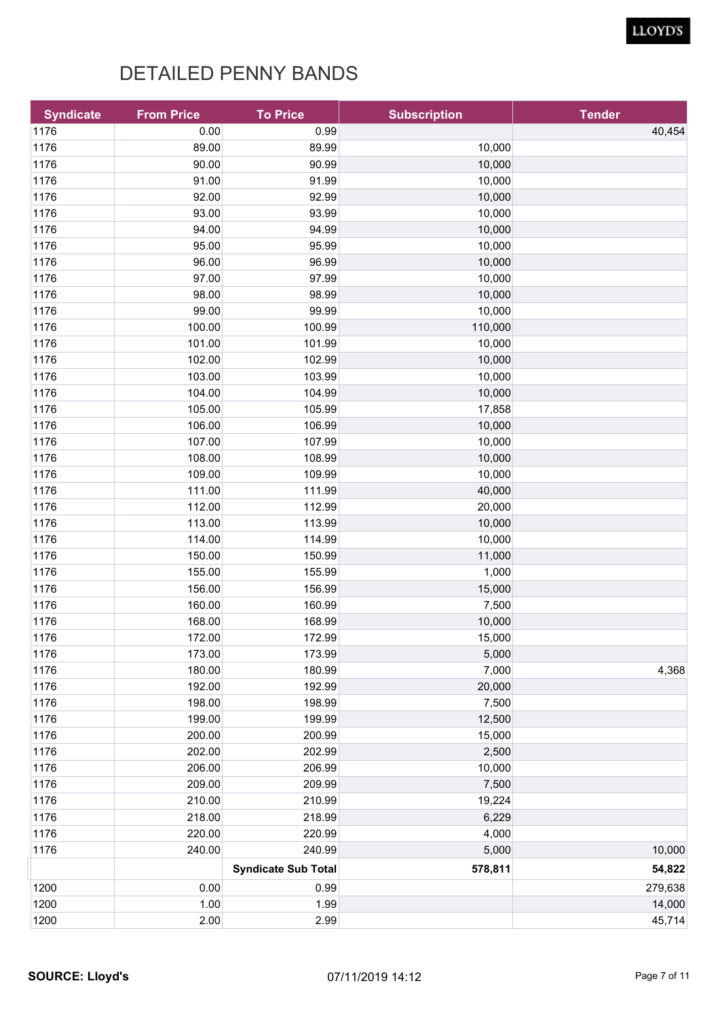| <b>Syndicate</b> | <b>From Price</b> | <b>To Price</b>            | <b>Subscription</b> | <b>Tender</b> |
|------------------|-------------------|----------------------------|---------------------|---------------|
| 1176             | 0.00              | 0.99                       |                     | 40,454        |
| 1176             | 89.00             | 89.99                      | 10,000              |               |
| 1176             | 90.00             | 90.99                      | 10,000              |               |
| 1176             | 91.00             | 91.99                      | 10,000              |               |
| 1176             | 92.00             | 92.99                      | 10,000              |               |
| 1176             | 93.00             | 93.99                      | 10,000              |               |
| 1176             | 94.00             | 94.99                      | 10,000              |               |
| 1176             | 95.00             | 95.99                      | 10,000              |               |
| 1176             | 96.00             | 96.99                      | 10,000              |               |
| 1176             | 97.00             | 97.99                      | 10,000              |               |
| 1176             | 98.00             | 98.99                      | 10,000              |               |
| 1176             | 99.00             | 99.99                      | 10,000              |               |
| 1176             | 100.00            | 100.99                     | 110,000             |               |
| 1176             | 101.00            | 101.99                     | 10,000              |               |
| 1176             | 102.00            | 102.99                     | 10,000              |               |
| 1176             | 103.00            | 103.99                     | 10,000              |               |
| 1176             | 104.00            | 104.99                     | 10,000              |               |
| 1176             | 105.00            | 105.99                     | 17,858              |               |
| 1176             | 106.00            | 106.99                     | 10,000              |               |
| 1176             | 107.00            | 107.99                     | 10,000              |               |
| 1176             | 108.00            | 108.99                     | 10,000              |               |
| 1176             | 109.00            | 109.99                     | 10,000              |               |
| 1176             | 111.00            | 111.99                     | 40,000              |               |
| 1176             | 112.00            | 112.99                     | 20,000              |               |
| 1176             | 113.00            | 113.99                     | 10,000              |               |
| 1176             | 114.00            | 114.99                     | 10,000              |               |
| 1176             | 150.00            | 150.99                     | 11,000              |               |
| 1176             | 155.00            | 155.99                     | 1,000               |               |
| 1176             | 156.00            | 156.99                     | 15,000              |               |
| 1176             | 160.00            | 160.99                     | 7,500               |               |
| 1176             | 168.00            | 168.99                     | 10,000              |               |
| 1176             | 172.00            | 172.99                     | 15,000              |               |
| 1176             | 173.00            | 173.99                     | 5,000               |               |
| 1176             | 180.00            | 180.99                     | 7,000               | 4,368         |
| 1176             | 192.00            | 192.99                     | 20,000              |               |
| 1176             | 198.00            | 198.99                     | 7,500               |               |
| 1176             | 199.00            | 199.99                     | 12,500              |               |
| 1176             | 200.00            | 200.99                     | 15,000              |               |
| 1176             | 202.00            | 202.99                     | 2,500               |               |
| 1176             | 206.00            | 206.99                     | 10,000              |               |
| 1176             | 209.00            | 209.99                     | 7,500               |               |
| 1176             | 210.00            | 210.99                     | 19,224              |               |
| 1176             | 218.00            | 218.99                     | 6,229               |               |
| 1176             | 220.00            | 220.99                     | 4,000               |               |
| 1176             | 240.00            | 240.99                     | 5,000               | 10,000        |
|                  |                   | <b>Syndicate Sub Total</b> | 578,811             | 54,822        |
| 1200             | 0.00              | 0.99                       |                     | 279,638       |
| 1200             | 1.00              | 1.99                       |                     | 14,000        |
| 1200             | 2.00              | 2.99                       |                     | 45,714        |
|                  |                   |                            |                     |               |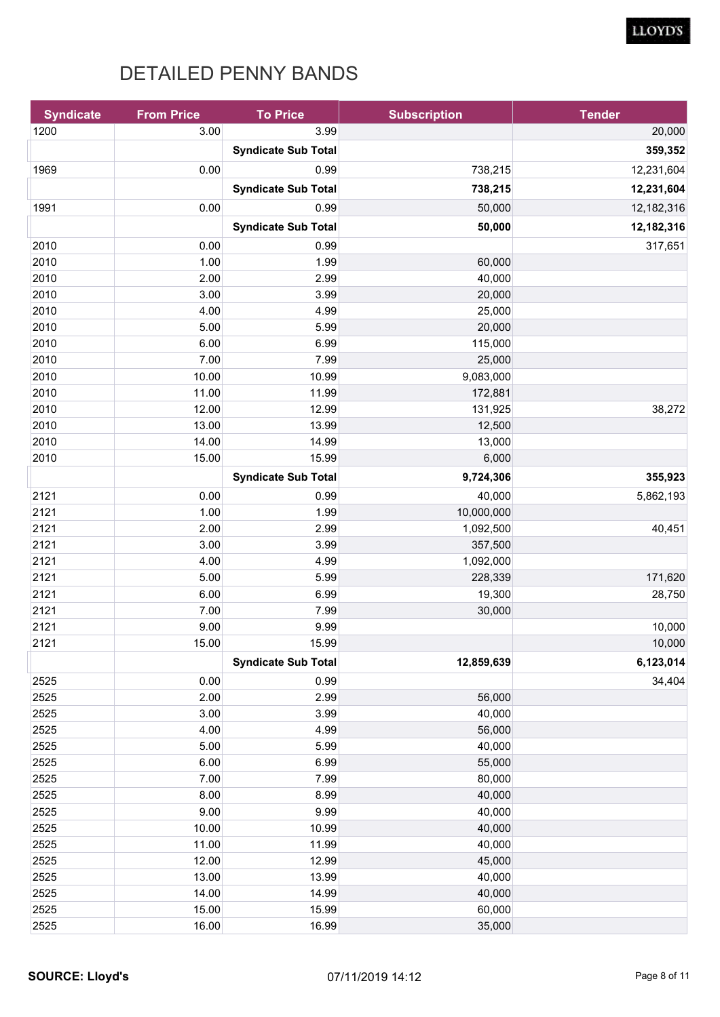| <b>Syndicate</b> | <b>From Price</b> | <b>To Price</b>            | <b>Subscription</b> | <b>Tender</b> |
|------------------|-------------------|----------------------------|---------------------|---------------|
| 1200             | 3.00              | 3.99                       |                     | 20,000        |
|                  |                   | <b>Syndicate Sub Total</b> |                     | 359,352       |
| 1969             | 0.00              | 0.99                       | 738,215             | 12,231,604    |
|                  |                   |                            | 738,215             |               |
|                  |                   | <b>Syndicate Sub Total</b> |                     | 12,231,604    |
| 1991             | 0.00              | 0.99                       | 50,000              | 12,182,316    |
|                  |                   | <b>Syndicate Sub Total</b> | 50,000              | 12,182,316    |
| 2010             | 0.00              | 0.99                       |                     | 317,651       |
| 2010             | 1.00              | 1.99                       | 60,000              |               |
| 2010             | 2.00              | 2.99                       | 40,000              |               |
| 2010             | 3.00              | 3.99                       | 20,000              |               |
| 2010             | 4.00              | 4.99                       | 25,000              |               |
| 2010             | 5.00              | 5.99                       | 20,000              |               |
| 2010             | 6.00              | 6.99                       | 115,000             |               |
| 2010             | 7.00              | 7.99                       | 25,000              |               |
| 2010             | 10.00             | 10.99                      | 9,083,000           |               |
| 2010             | 11.00             | 11.99                      | 172,881             |               |
| 2010             | 12.00             | 12.99                      | 131,925             | 38,272        |
| 2010             | 13.00             | 13.99                      | 12,500              |               |
| 2010             | 14.00             | 14.99                      | 13,000              |               |
| 2010             | 15.00             | 15.99                      | 6,000               |               |
|                  |                   | <b>Syndicate Sub Total</b> | 9,724,306           | 355,923       |
| 2121             | 0.00              | 0.99                       | 40,000              | 5,862,193     |
| 2121             | 1.00              | 1.99                       | 10,000,000          |               |
| 2121             | 2.00              | 2.99                       | 1,092,500           | 40,451        |
| 2121             | 3.00              | 3.99                       | 357,500             |               |
| 2121             | 4.00              | 4.99                       | 1,092,000           |               |
| 2121             | 5.00              | 5.99                       | 228,339             | 171,620       |
| 2121             | 6.00              | 6.99                       | 19,300              | 28,750        |
| 2121             | 7.00              | 7.99                       | 30,000              |               |
| 2121             | 9.00              | 9.99                       |                     | 10,000        |
| 2121             | 15.00             | 15.99                      |                     | 10,000        |
|                  |                   | <b>Syndicate Sub Total</b> | 12,859,639          | 6,123,014     |
| 2525             | 0.00              | 0.99                       |                     | 34,404        |
| 2525             | 2.00              | 2.99                       | 56,000              |               |
| 2525             | 3.00              | 3.99                       | 40,000              |               |
| 2525             | 4.00              | 4.99                       | 56,000              |               |
| 2525             | 5.00              | 5.99                       | 40,000              |               |
| 2525             | 6.00              | 6.99                       | 55,000              |               |
| 2525             | 7.00              | 7.99                       | 80,000              |               |
| 2525             | 8.00              | 8.99                       | 40,000              |               |
| 2525             | 9.00              | 9.99                       | 40,000              |               |
| 2525             | 10.00             | 10.99                      | 40,000              |               |
| 2525             | 11.00             | 11.99                      | 40,000              |               |
| 2525             | 12.00             | 12.99                      | 45,000              |               |
| 2525             | 13.00             | 13.99                      | 40,000              |               |
| 2525             | 14.00             | 14.99                      | 40,000              |               |
| 2525             | 15.00             | 15.99                      | 60,000              |               |
| 2525             | 16.00             | 16.99                      | 35,000              |               |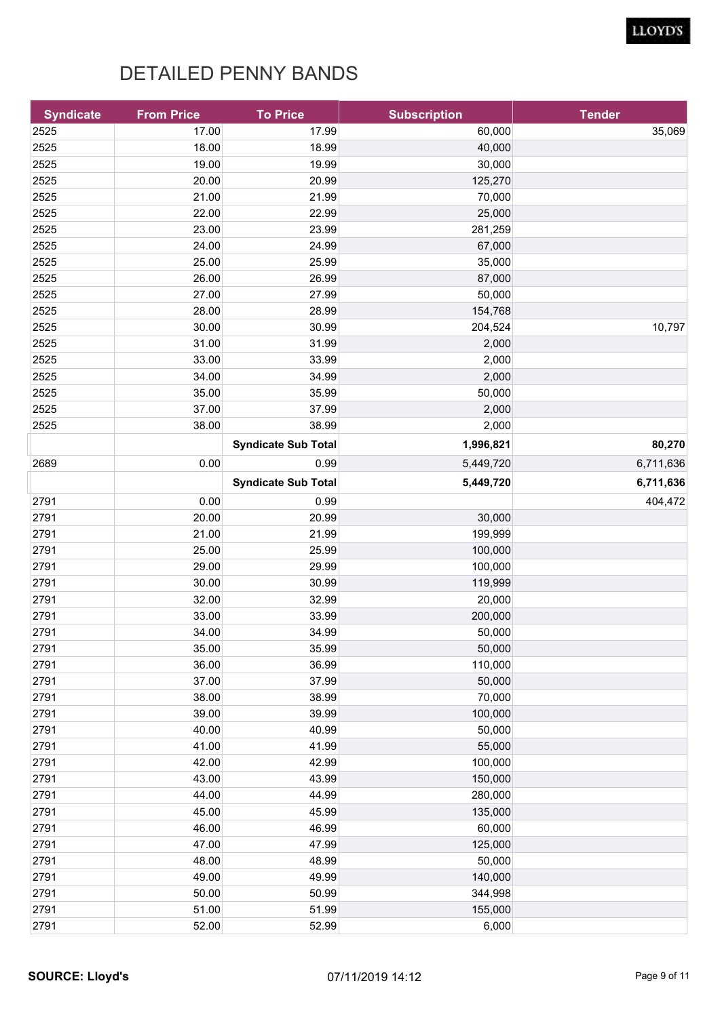| <b>Syndicate</b> | <b>From Price</b> | <b>To Price</b>            | <b>Subscription</b> | <b>Tender</b> |
|------------------|-------------------|----------------------------|---------------------|---------------|
| 2525             | 17.00             | 17.99                      | 60,000              | 35,069        |
| 2525             | 18.00             | 18.99                      | 40,000              |               |
| 2525             | 19.00             | 19.99                      | 30,000              |               |
| 2525             | 20.00             | 20.99                      | 125,270             |               |
| 2525             | 21.00             | 21.99                      | 70,000              |               |
| 2525             | 22.00             | 22.99                      | 25,000              |               |
| 2525             | 23.00             | 23.99                      | 281,259             |               |
| 2525             | 24.00             | 24.99                      | 67,000              |               |
| 2525             | 25.00             | 25.99                      | 35,000              |               |
| 2525             | 26.00             | 26.99                      | 87,000              |               |
| 2525             | 27.00             | 27.99                      | 50,000              |               |
| 2525             | 28.00             | 28.99                      | 154,768             |               |
| 2525             | 30.00             | 30.99                      | 204,524             | 10,797        |
| 2525             | 31.00             | 31.99                      | 2,000               |               |
| 2525             | 33.00             | 33.99                      | 2,000               |               |
| 2525             | 34.00             | 34.99                      | 2,000               |               |
| 2525             | 35.00             | 35.99                      | 50,000              |               |
| 2525             | 37.00             | 37.99                      | 2,000               |               |
| 2525             | 38.00             | 38.99                      | 2,000               |               |
|                  |                   | <b>Syndicate Sub Total</b> | 1,996,821           | 80,270        |
| 2689             | 0.00              | 0.99                       | 5,449,720           | 6,711,636     |
|                  |                   | <b>Syndicate Sub Total</b> | 5,449,720           | 6,711,636     |
| 2791             | 0.00              | 0.99                       |                     | 404,472       |
| 2791             | 20.00             | 20.99                      | 30,000              |               |
| 2791             | 21.00             | 21.99                      | 199,999             |               |
| 2791             | 25.00             | 25.99                      | 100,000             |               |
| 2791             | 29.00             | 29.99                      | 100,000             |               |
| 2791             | 30.00             | 30.99                      | 119,999             |               |
| 2791             | 32.00             | 32.99                      | 20,000              |               |
| 2791             | 33.00             | 33.99                      | 200,000             |               |
| 2791             | 34.00             | 34.99                      | 50,000              |               |
| 2791             | 35.00             | 35.99                      | 50,000              |               |
| 2791             | 36.00             | 36.99                      | 110,000             |               |
| 2791             | 37.00             | 37.99                      | 50,000              |               |
| 2791             | 38.00             | 38.99                      | 70,000              |               |
| 2791             | 39.00             | 39.99                      | 100,000             |               |
| 2791             | 40.00             | 40.99                      | 50,000              |               |
| 2791             | 41.00             | 41.99                      | 55,000              |               |
| 2791             | 42.00             | 42.99                      | 100,000             |               |
| 2791             | 43.00             | 43.99                      | 150,000             |               |
| 2791             | 44.00             | 44.99                      | 280,000             |               |
| 2791             | 45.00             | 45.99                      | 135,000             |               |
| 2791             | 46.00             | 46.99                      | 60,000              |               |
| 2791             | 47.00             | 47.99                      | 125,000             |               |
| 2791             | 48.00             | 48.99                      | 50,000              |               |
| 2791             | 49.00             | 49.99                      | 140,000             |               |
|                  | 50.00             | 50.99                      |                     |               |
| 2791             |                   |                            | 344,998             |               |
| 2791             | 51.00             | 51.99                      | 155,000             |               |
| 2791             | 52.00             | 52.99                      | 6,000               |               |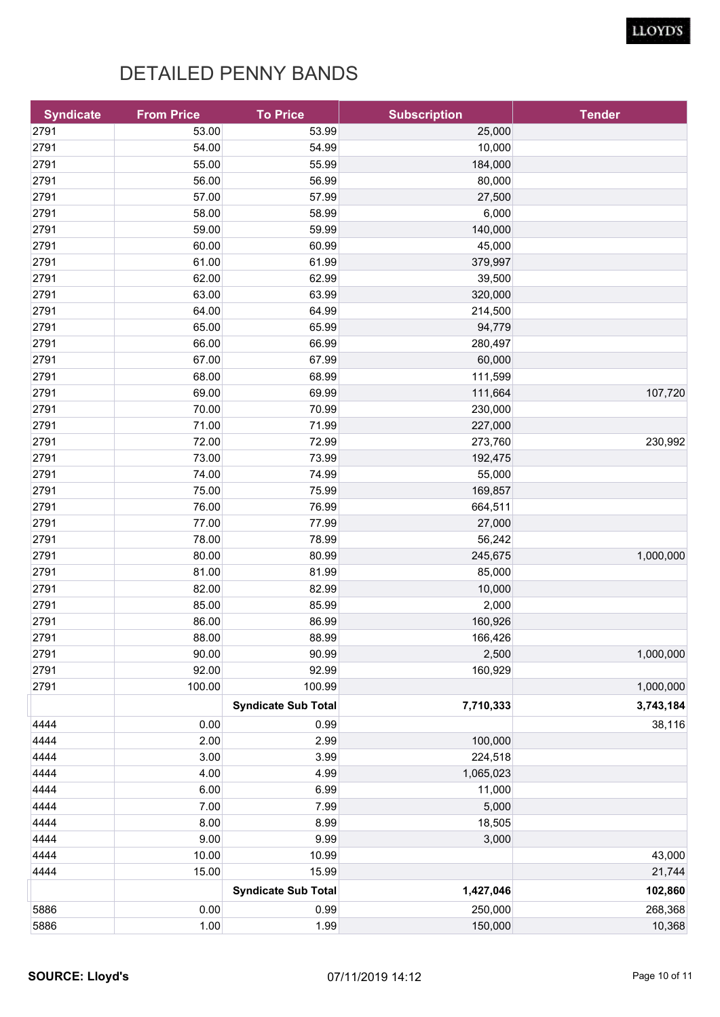| <b>Syndicate</b> | <b>From Price</b> | <b>To Price</b>            | <b>Subscription</b> | <b>Tender</b> |
|------------------|-------------------|----------------------------|---------------------|---------------|
| 2791             | 53.00             | 53.99                      | 25,000              |               |
| 2791             | 54.00             | 54.99                      | 10,000              |               |
| 2791             | 55.00             | 55.99                      | 184,000             |               |
| 2791             | 56.00             | 56.99                      | 80,000              |               |
| 2791             | 57.00             | 57.99                      | 27,500              |               |
| 2791             | 58.00             | 58.99                      | 6,000               |               |
| 2791             | 59.00             | 59.99                      | 140,000             |               |
| 2791             | 60.00             | 60.99                      | 45,000              |               |
| 2791             | 61.00             | 61.99                      | 379,997             |               |
| 2791             | 62.00             | 62.99                      | 39,500              |               |
| 2791             | 63.00             | 63.99                      | 320,000             |               |
| 2791             | 64.00             | 64.99                      | 214,500             |               |
| 2791             | 65.00             | 65.99                      | 94,779              |               |
| 2791             | 66.00             | 66.99                      | 280,497             |               |
| 2791             | 67.00             | 67.99                      | 60,000              |               |
| 2791             | 68.00             | 68.99                      | 111,599             |               |
| 2791             | 69.00             | 69.99                      | 111,664             | 107,720       |
| 2791             | 70.00             | 70.99                      | 230,000             |               |
| 2791             | 71.00             | 71.99                      | 227,000             |               |
| 2791             | 72.00             | 72.99                      | 273,760             | 230,992       |
| 2791             | 73.00             | 73.99                      | 192,475             |               |
| 2791             | 74.00             | 74.99                      | 55,000              |               |
| 2791             | 75.00             | 75.99                      | 169,857             |               |
| 2791             | 76.00             | 76.99                      | 664,511             |               |
| 2791             | 77.00             | 77.99                      | 27,000              |               |
| 2791             | 78.00             | 78.99                      | 56,242              |               |
| 2791             | 80.00             | 80.99                      | 245,675             | 1,000,000     |
| 2791             | 81.00             | 81.99                      | 85,000              |               |
| 2791             | 82.00             | 82.99                      | 10,000              |               |
| 2791             | 85.00             | 85.99                      | 2,000               |               |
| 2791             | 86.00             | 86.99                      | 160,926             |               |
| 2791             | 88.00             | 88.99                      | 166,426             |               |
| 2791             | 90.00             | 90.99                      | 2,500               | 1,000,000     |
| 2791             | 92.00             | 92.99                      | 160,929             |               |
| 2791             | 100.00            | 100.99                     |                     | 1,000,000     |
|                  |                   | <b>Syndicate Sub Total</b> | 7,710,333           | 3,743,184     |
| 4444             | 0.00              | 0.99                       |                     | 38,116        |
| 4444             | 2.00              | 2.99                       | 100,000             |               |
| 4444             | 3.00              | 3.99                       | 224,518             |               |
| 4444             | 4.00              | 4.99                       | 1,065,023           |               |
| 4444             | 6.00              | 6.99                       | 11,000              |               |
| 4444             | 7.00              | 7.99                       | 5,000               |               |
| 4444             | 8.00              | 8.99                       | 18,505              |               |
| 4444             | 9.00              | 9.99                       | 3,000               |               |
| 4444             | 10.00             | 10.99                      |                     | 43,000        |
| 4444             | 15.00             | 15.99                      |                     | 21,744        |
|                  |                   | <b>Syndicate Sub Total</b> | 1,427,046           | 102,860       |
| 5886             | 0.00              | 0.99                       | 250,000             | 268,368       |
| 5886             | 1.00              | 1.99                       | 150,000             | 10,368        |
|                  |                   |                            |                     |               |